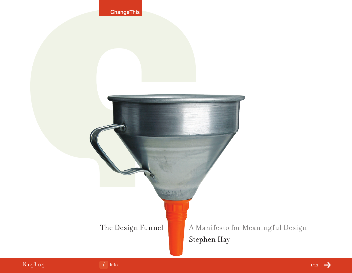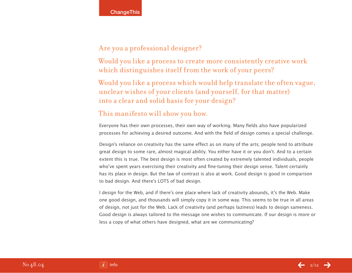## Are you a professional designer?

Would you like a process to create more consistently creative work which distinguishes itself from the work of your peers?

Would you like a process which would help translate the often vague, unclear wishes of your clients (and yourself, for that matter) into a clear and solid basis for your design?

## This manifesto will show you how.

Everyone has their own processes, their own way of working. Many fields also have popularized processes for achieving a desired outcome. And with the field of design comes a special challenge.

Design's reliance on creativity has the same effect as on many of the arts; people tend to attribute great design to some rare, almost magical ability. You either have it or you don't. And to a certain extent this is true. The best design is most often created by extremely talented individuals, people who've spent years exercising their creativity and fine-tuning their design sense. Talent certainly has its place in design. But the law of contrast is also at work. Good design is good in comparison to bad design. And there's LOTS of bad design.

I design for the Web, and if there's one place where lack of creativity abounds, it's the Web. Make one good design, and thousands will simply copy it in some way. This seems to be true in all areas of design, not just for the Web. Lack of creativity (and perhaps laziness) leads to design sameness. Good design is always tailored to the message one wishes to communicate. If our design is more or less a copy of what others have designed, what are we communicating?

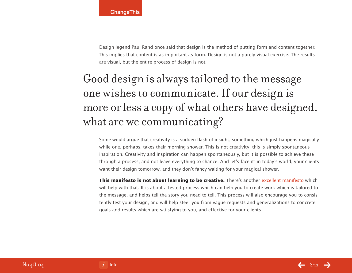Design legend Paul Rand once said that design is the method of putting form and content together. This implies that content is as important as form. Design is not a purely visual exercise. The results are visual, but the entire process of design is not.

# Good design is always tailored to the message one wishes to communicate. If our design is more or less a copy of what others have designed, what are we communicating?

Some would argue that creativity is a sudden flash of insight, something which just happens magically while one, perhaps, takes their morning shower. This is not creativity; this is simply spontaneous inspiration. Creativity and inspiration can happen spontaneously, but it is possible to achieve these through a process, and not leave everything to chance. And let's face it: in today's world, your clients want their design tomorrow, and they don't fancy waiting for your magical shower.

**This manifesto is not about learning to be creative.** There's another [excellent manifesto](http://www.changethis.com/6.HowToBeCreative) which will help with that. It is about a tested process which can help you to create work which is tailored to the message, and helps tell the story you need to tell. This process will also encourage you to consistently test your design, and will help steer you from vague requests and generalizations to concrete goals and results which are satisfying to you, and effective for your clients.

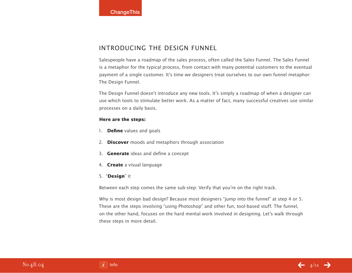## Introducing the Design Funnel

Salespeople have a roadmap of the sales process, often called the Sales Funnel. The Sales Funnel is a metaphor for the typical process, from contact with many potential customers to the eventual payment of a single customer. It's time we designers treat ourselves to our own funnel metaphor: The Design Funnel.

The Design Funnel doesn't introduce any new tools. It's simply a roadmap of when a designer can use which tools to stimulate better work. As a matter of fact, many successful creatives use similar processes on a daily basis.

#### **Here are the steps:**

- 1. **Define** values and goals
- 2. **Discover** moods and metaphors through association
- 3. **Generate** ideas and define a concept
- 4. **Create** a visual language
- 5. "**Design**" it

Between each step comes the same sub-step: Verify that you're on the right track.

Why is most design bad design? Because most designers "jump into the funnel" at step 4 or 5. These are the steps involving "using Photoshop" and other fun, tool-based stuff. The funnel, on the other hand, focuses on the hard mental work involved in designing. Let's walk through these steps in more detail.

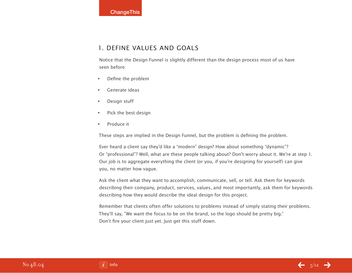## 1. Define values and goals

Notice that the Design Funnel is slightly different than the design process most of us have seen before:

- • Define the problem
- Generate ideas
- • Design stuff
- • Pick the best design
- • Produce it

These steps are implied in the Design Funnel, but the problem is defining the problem.

Ever heard a client say they'd like a "modern" design? How about something "dynamic"? Or "professional"? Well, what are these people talking about? Don't worry about it. We're at step 1. Our job is to aggregate everything the client (or you, if you're designing for yourself) can give you, no matter how vague.

Ask the client what they want to accomplish, communicate, sell, or tell. Ask them for keywords describing their company, product, services, values, and most importantly, ask them for keywords describing how they would describe the ideal design for this project.

Remember that clients often offer solutions to problems instead of simply stating their problems. They'll say, "We want the focus to be on the brand, so the logo should be pretty big." Don't fire your client just yet. Just get this stuff down.

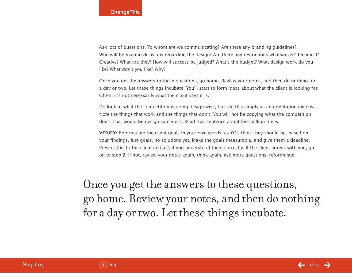Ask lots of questions. To whom are we communicating? Are there any branding guidelines? Who will be making decisions regarding the design? Are there any restrictions whatsoever? Technical? Creative? What are they? How will success be judged? What's the budget? What design work do you like? What don't you like? Why?

Once you get the answers to these questions, go home. Review your notes, and then do nothing for a day or two. Let these things incubate. You'll start to form ideas about what the client is looking for. Often, it's not necessarily what the client says it is.

Do look at what the competition is doing design-wise, but see this simply as an orientation exercise. Note the things that work and the things that don't. You will not be copying what the competition does. That would be design sameness. Read that sentence about five million times.

**VERIFY:** Reformulate the client goals in your own words, as YOU think they should be, based on your findings. Just goals, no solutions yet. Make the goals measurable, and give them a deadline. Present this to the client and ask if you understood them correctly. If the client agrees with you, go on to step 2. If not, review your notes again, think again, ask more questions, reformulate.

Once you get the answers to these questions, go home. Review your notes, and then do nothing for a day or two. Let these things incubate.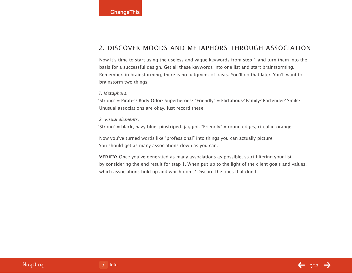## 2. Discover moods and metaphors through association

Now it's time to start using the useless and vague keywords from step 1 and turn them into the basis for a successful design. Get all these keywords into one list and start brainstorming. Remember, in brainstorming, there is no judgment of ideas. You'll do that later. You'll want to brainstorm two things:

1. Metaphors.

"Strong" = Pirates? Body Odor? Superheroes? "Friendly" = Flirtatious? Family? Bartender? Smile? Unusual associations are okay. Just record these.

2. Visual elements.

"Strong" = black, navy blue, pinstriped, jagged. "Friendly" = round edges, circular, orange.

Now you've turned words like "professional" into things you can actually picture. You should get as many associations down as you can.

**VERIFY:** Once you've generated as many associations as possible, start filtering your list by considering the end result for step 1. When put up to the light of the client goals and values, which associations hold up and which don't? Discard the ones that don't.

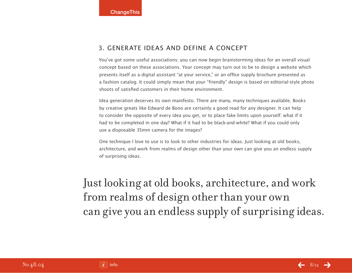## 3. Generate ideas and define a concept

You've got some useful associations; you can now begin brainstorming ideas for an overall visual concept based on these associations. Your concept may turn out to be to design a website which presents itself as a digital assistant "at your service," or an office supply brochure presented as a fashion catalog. It could simply mean that your "friendly" design is based on editorial-style photo shoots of satisfied customers in their home environment.

Idea generation deserves its own manifesto. There are many, many techniques available. Books by creative greats like Edward de Bono are certainly a good read for any designer. It can help to consider the opposite of every idea you get, or to place fake limits upon yourself: what if it had to be completed in one day? What if it had to be black-and-white? What if you could only use a disposable 35mm camera for the images?

One technique I love to use is to look to other industries for ideas. Just looking at old books, architecture, and work from realms of design other than your own can give you an endless supply of surprising ideas.

Just looking at old books, architecture, and work from realms of design other than your own can give you an endless supply of surprising ideas.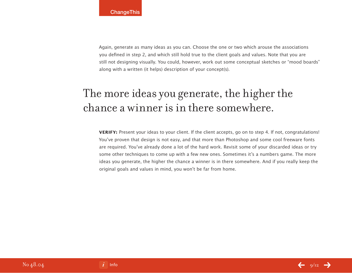Again, generate as many ideas as you can. Choose the one or two which arouse the associations you defined in step 2, and which still hold true to the client goals and values. Note that you are still not designing visually. You could, however, work out some conceptual sketches or "mood boards" along with a written (it helps) description of your concept(s).

# The more ideas you generate, the higher the chance a winner is in there somewhere.

**VERIFY:** Present your ideas to your client. If the client accepts, go on to step 4. If not, congratulations! You've proven that design is not easy, and that more than Photoshop and some cool freeware fonts are required. You've already done a lot of the hard work. Revisit some of your discarded ideas or try some other techniques to come up with a few new ones. Sometimes it's a numbers game. The more ideas you generate, the higher the chance a winner is in there somewhere. And if you really keep the original goals and values in mind, you won't be far from home.

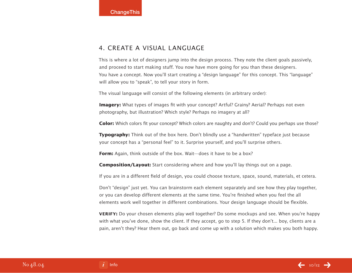### 4. Create a visual language

This is where a lot of designers jump into the design process. They note the client goals passively, and proceed to start making stuff. You now have more going for you than these designers. You have a concept. Now you'll start creating a "design language" for this concept. This "language" will allow you to "speak", to tell your story in form.

The visual language will consist of the following elements (in arbitrary order):

**Imagery:** What types of images fit with your concept? Artful? Grainy? Aerial? Perhaps not even photography, but illustration? Which style? Perhaps no imagery at all?

**Color:** Which colors fit your concept? Which colors are naughty and don't? Could you perhaps use those?

**Typography:** Think out of the box here. Don't blindly use a "handwritten" typeface just because your concept has a "personal feel" to it. Surprise yourself, and you'll surprise others.

**Form:** Again, think outside of the box. Wait—does it have to be a box?

**Composition/Layout:** Start considering where and how you'll lay things out on a page.

If you are in a different field of design, you could choose texture, space, sound, materials, et cetera.

Don't "design" just yet. You can brainstorm each element separately and see how they play together, or you can develop different elements at the same time. You're finished when you feel the all elements work well together in different combinations. Your design language should be flexible.

**VERIFY:** Do your chosen elements play well together? Do some mockups and see. When you're happy with what you've done, show the client. If they accept, go to step 5. If they don't... boy, clients are a pain, aren't they? Hear them out, go back and come up with a solution which makes you both happy.

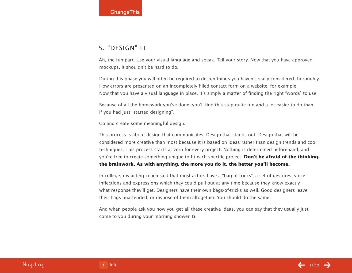## 5. "Design" it

Ah, the fun part. Use your visual language and speak. Tell your story. Now that you have approved mockups, it shouldn't be hard to do.

During this phase you will often be required to design things you haven't really considered thoroughly. How errors are presented on an incompletely filled contact form on a website, for example. Now that you have a visual language in place, it's simply a matter of finding the right "words" to use.

Because of all the homework you've done, you'll find this step quite fun and a lot easier to do than if you had just "started designing".

Go and create some meaningful design.

This process is about design that communicates. Design that stands out. Design that will be considered more creative than most because it is based on ideas rather than design trends and cool techniques. This process starts at zero for every project. Nothing is determined beforehand, and you're free to create something unique to fit each specific project. **Don't be afraid of the thinking, the brainwork. As with anything, the more you do it, the better you'll become.**

In college, my acting coach said that most actors have a "bag of tricks", a set of gestures, voice inflections and expressions which they could pull out at any time because they know exactly what response they'll get. Designers have their own bags-of-tricks as well. Good designers leave their bags unattended, or dispose of them altogether. You should do the same.

And when people ask you how you get all these creative ideas, you can say that they usually just come to you during your morning shower.  $\mathbf{\Omega}$